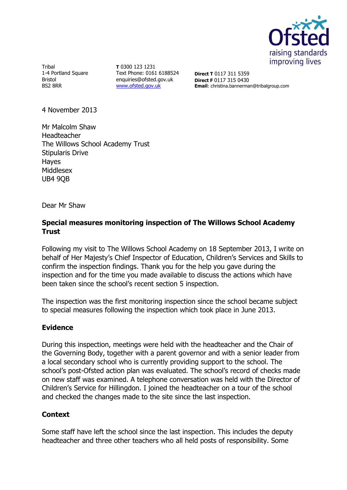

Tribal 1-4 Portland Square Bristol BS2 8RR

**T** 0300 123 1231 Text Phone: 0161 6188524 enquiries@ofsted.gov.uk [www.ofsted.gov.uk](http://www.ofsted.gov.uk/)

**Direct T** 0117 311 5359 **Direct F** 0117 315 0430 **Email**: christina.bannerman@tribalgroup.com

4 November 2013

Mr Malcolm Shaw Headteacher The Willows School Academy Trust Stipularis Drive Hayes Middlesex UB4 9QB

Dear Mr Shaw

## **Special measures monitoring inspection of The Willows School Academy Trust**

Following my visit to The Willows School Academy on 18 September 2013, I write on behalf of Her Majesty's Chief Inspector of Education, Children's Services and Skills to confirm the inspection findings. Thank you for the help you gave during the inspection and for the time you made available to discuss the actions which have been taken since the school's recent section 5 inspection.

The inspection was the first monitoring inspection since the school became subject to special measures following the inspection which took place in June 2013.

## **Evidence**

During this inspection, meetings were held with the headteacher and the Chair of the Governing Body, together with a parent governor and with a senior leader from a local secondary school who is currently providing support to the school. The school's post-Ofsted action plan was evaluated. The school's record of checks made on new staff was examined. A telephone conversation was held with the Director of Children's Service for Hillingdon. I joined the headteacher on a tour of the school and checked the changes made to the site since the last inspection.

## **Context**

Some staff have left the school since the last inspection. This includes the deputy headteacher and three other teachers who all held posts of responsibility. Some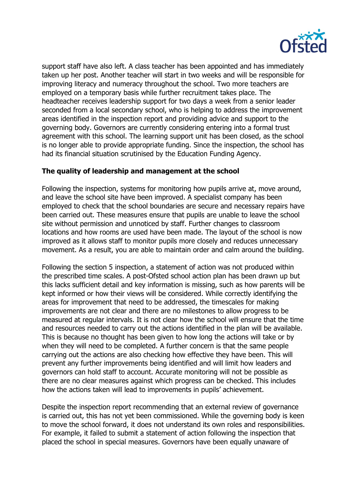

support staff have also left. A class teacher has been appointed and has immediately taken up her post. Another teacher will start in two weeks and will be responsible for improving literacy and numeracy throughout the school. Two more teachers are employed on a temporary basis while further recruitment takes place. The headteacher receives leadership support for two days a week from a senior leader seconded from a local secondary school, who is helping to address the improvement areas identified in the inspection report and providing advice and support to the governing body. Governors are currently considering entering into a formal trust agreement with this school. The learning support unit has been closed, as the school is no longer able to provide appropriate funding. Since the inspection, the school has had its financial situation scrutinised by the Education Funding Agency.

## **The quality of leadership and management at the school**

Following the inspection, systems for monitoring how pupils arrive at, move around, and leave the school site have been improved. A specialist company has been employed to check that the school boundaries are secure and necessary repairs have been carried out. These measures ensure that pupils are unable to leave the school site without permission and unnoticed by staff. Further changes to classroom locations and how rooms are used have been made. The layout of the school is now improved as it allows staff to monitor pupils more closely and reduces unnecessary movement. As a result, you are able to maintain order and calm around the building.

Following the section 5 inspection, a statement of action was not produced within the prescribed time scales. A post-Ofsted school action plan has been drawn up but this lacks sufficient detail and key information is missing, such as how parents will be kept informed or how their views will be considered. While correctly identifying the areas for improvement that need to be addressed, the timescales for making improvements are not clear and there are no milestones to allow progress to be measured at regular intervals. It is not clear how the school will ensure that the time and resources needed to carry out the actions identified in the plan will be available. This is because no thought has been given to how long the actions will take or by when they will need to be completed. A further concern is that the same people carrying out the actions are also checking how effective they have been. This will prevent any further improvements being identified and will limit how leaders and governors can hold staff to account. Accurate monitoring will not be possible as there are no clear measures against which progress can be checked. This includes how the actions taken will lead to improvements in pupils' achievement.

Despite the inspection report recommending that an external review of governance is carried out, this has not yet been commissioned. While the governing body is keen to move the school forward, it does not understand its own roles and responsibilities. For example, it failed to submit a statement of action following the inspection that placed the school in special measures. Governors have been equally unaware of